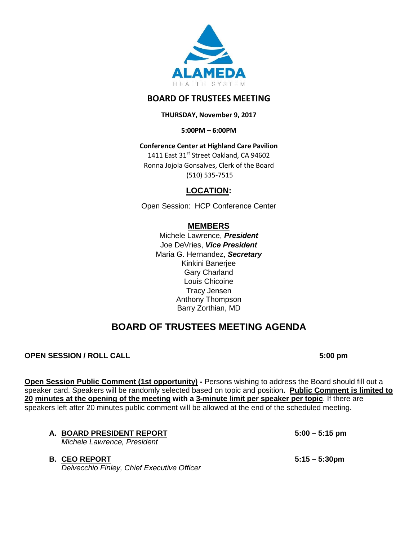

## **BOARD OF TRUSTEES MEETING**

**THURSDAY, November 9, 2017**

**5:00PM – 6:00PM**

**Conference Center at Highland Care Pavilion**

1411 East 31st Street Oakland, CA 94602 Ronna Jojola Gonsalves, Clerk of the Board (510) 535-7515

## **LOCATION:**

Open Session: HCP Conference Center

## **MEMBERS**

Michele Lawrence, *President*  Joe DeVries, *Vice President*  Maria G. Hernandez, *Secretary* Kinkini Banerjee Gary Charland Louis Chicoine Tracy Jensen Anthony Thompson Barry Zorthian, MD

# **BOARD OF TRUSTEES MEETING AGENDA**

## **OPEN SESSION / ROLL CALL 6:00 pm**

**Open Session Public Comment (1st opportunity) -** Persons wishing to address the Board should fill out a speaker card. Speakers will be randomly selected based on topic and position**. Public Comment is limited to 20 minutes at the opening of the meeting with a 3-minute limit per speaker per topic**. If there are speakers left after 20 minutes public comment will be allowed at the end of the scheduled meeting.

**A. BOARD PRESIDENT REPORT 5:00 – 5:15 pm**

*Michele Lawrence, President*

## **B. CEO REPORT 5:15 – 5:30pm**

*Delvecchio Finley, Chief Executive Officer*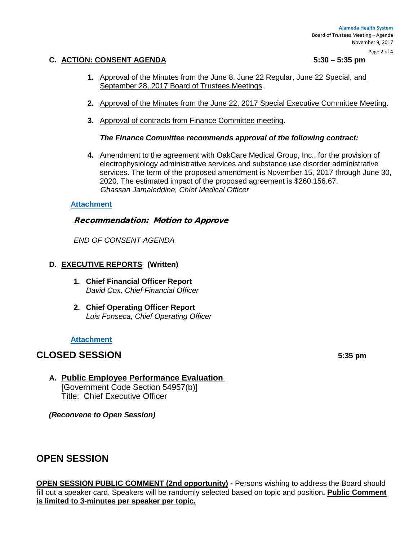Page 2 of 4

#### **C. ACTION: CONSENT AGENDA 5:30 – 5:35 pm**

- **1.** Approval of the Minutes from the June 8, June 22 Regular, June 22 Special, and September 28, 2017 Board of Trustees Meetings.
- **2.** Approval of the Minutes from the June 22, 2017 Special Executive Committee Meeting.
- **3.** Approval of contracts from Finance Committee meeting.

#### *The Finance Committee recommends approval of the following contract:*

**4.** Amendment to the agreement with OakCare Medical Group, Inc., for the provision of electrophysiology administrative services and substance use disorder administrative services. The term of the proposed amendment is November 15, 2017 through June 30, 2020. The estimated impact of the proposed agreement is \$260,156.67. *Ghassan Jamaleddine, Chief Medical Officer*

#### **[Attachment](http://www.alamedahealthsystem.org/wp-content/uploads/2017/11/Tab-C-Consent.pdf)**

#### Recommendation: Motion to Approve

*END OF CONSENT AGENDA*

### **D. EXECUTIVE REPORTS (Written)**

- **1. Chief Financial Officer Report** *David Cox, Chief Financial Officer*
- **2. Chief Operating Officer Report** *Luis Fonseca, Chief Operating Officer*

#### **[Attachment](http://www.alamedahealthsystem.org/wp-content/uploads/2017/11/Tab-D-Executive-Reports.pdf)**

## **CLOSED SESSION** 5:35 pm

**A. Public Employee Performance Evaluation**  [Government Code Section 54957(b)]

Title: Chief Executive Officer

*(Reconvene to Open Session)* 

# **OPEN SESSION**

**OPEN SESSION PUBLIC COMMENT (2nd opportunity) -** Persons wishing to address the Board should fill out a speaker card. Speakers will be randomly selected based on topic and position**. Public Comment is limited to 3-minutes per speaker per topic.**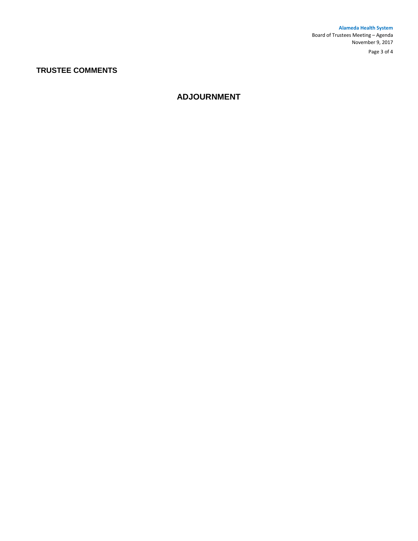**Alameda Health System**  Board of Trustees Meeting – Agenda November 9, 2017

Page 3 of 4

## **TRUSTEE COMMENTS**

## **ADJOURNMENT**